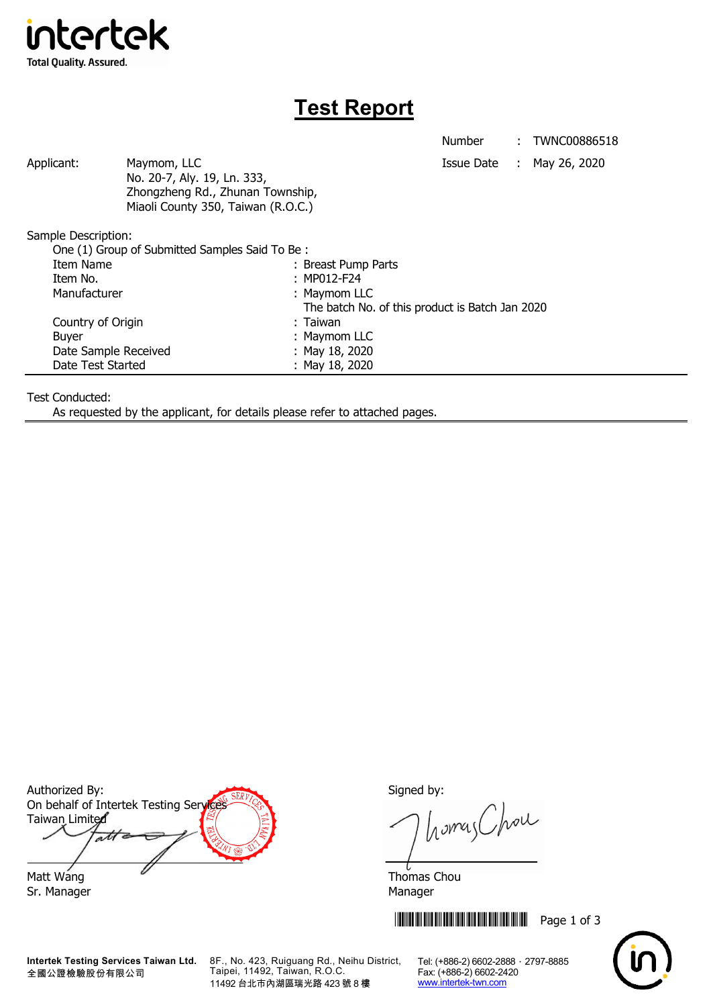

## **Test Report**

Number : TWNC00886518

Applicant: Maymom, LLC Maymon, ILC Applicant: May 26, 2020 No. 20-7, Aly. 19, Ln. 333, Zhongzheng Rd., Zhunan Township, Miaoli County 350, Taiwan (R.O.C.)

Sample Description:

| One (1) Group of Submitted Samples Said To Be: |                                                 |  |
|------------------------------------------------|-------------------------------------------------|--|
| Item Name                                      | : Breast Pump Parts                             |  |
| Item No.                                       | : MP012-F24                                     |  |
| Manufacturer                                   | : Maymom LLC                                    |  |
|                                                | The batch No. of this product is Batch Jan 2020 |  |
| Country of Origin                              | : Taiwan                                        |  |
| <b>Buyer</b>                                   | : Maymom LLC                                    |  |
| Date Sample Received                           | : May 18, 2020                                  |  |
| Date Test Started                              | : May 18, 2020                                  |  |

Test Conducted:

As requested by the applicant, for details please refer to attached pages.

Authorized By: Signed by: On behalf of Intertek Testing Services Taiwan Limited  $\overline{\mathcal{A}}$ Matt Wang **Thomas Chou** 

Sr. Manager Manager Manager Manager Manager

**Intertek Testing Services Taiwan Ltd.** 全國公證檢驗股份有限公司

8F., No. 423, Ruiguang Rd., Neihu District, Taipei, 11492, Taiwan, R.O.C. 11492 台北市內湖區瑞光路 423 號 8 樓

homas Chou

**THEFT READERS THE READERS IN STRIKE IN STRIKE AND READERS TO A SET OF 3** 



Tel: (+886-2) 6602-2888 · 2797-8885 Fax: (+886-2) 6602-2420 www.intertek-twn.com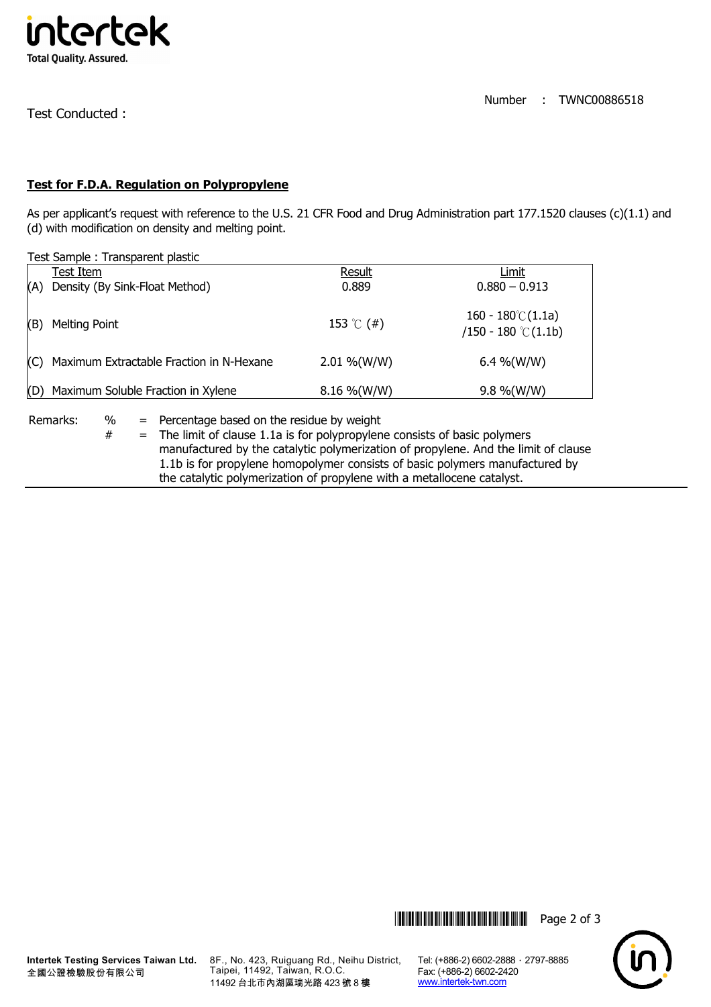

Test Conducted :

## **Test for F.D.A. Regulation on Polypropylene**

As per applicant's request with reference to the U.S. 21 CFR Food and Drug Administration part 177.1520 clauses (c)(1.1) and (d) with modification on density and melting point.

Test Sample : Transparent plastic

|     | rest Sample . Hansparent plastic             |                |                                                     |  |  |
|-----|----------------------------------------------|----------------|-----------------------------------------------------|--|--|
|     | Test Item                                    | Result         | Limit                                               |  |  |
| (A) | Density (By Sink-Float Method)               | 0.889          | $0.880 - 0.913$                                     |  |  |
| (B) | Melting Point                                | 153 °C (#)     | $160 - 180^{\circ}$ (1.1a)<br>$/150 - 180$ °C(1.1b) |  |  |
|     | (C) Maximum Extractable Fraction in N-Hexane | $2.01\%$ (W/W) | 6.4 %(W/W)                                          |  |  |
| (D) | Maximum Soluble Fraction in Xylene           | $8.16\%$ (W/W) | $9.8\%$ (W/W)                                       |  |  |

Remarks: % = Percentage based on the residue by weight

 $#$  = The limit of clause 1.1a is for polypropylene consists of basic polymers manufactured by the catalytic polymerization of propylene. And the limit of clause 1.1b is for propylene homopolymer consists of basic polymers manufactured by the catalytic polymerization of propylene with a metallocene catalyst.





8F., No. 423, Ruiguang Rd., Neihu District, Taipei, 11492, Taiwan, R.O.C. 11492 台北市內湖區瑞光路 423 號 8 樓

Tel: (+886-2) 6602-2888 · 2797-8885 Fax: (+886-2) 6602-2420 www.intertek-twn.com